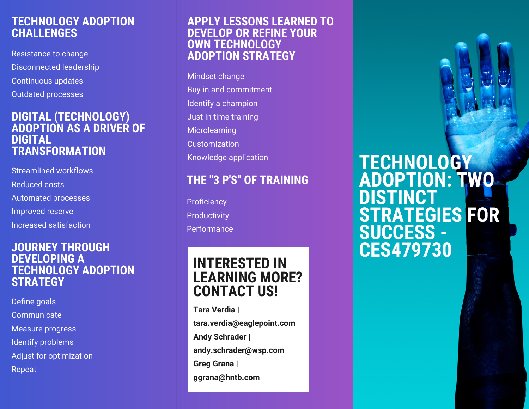## **TECHNOLOGY ADOPTION CHALLENGES**

Resistance to change Disconnected leadership Continuous updates Outdated processes

### **DIGITAL (TECHNOLOGY) ADOPTION AS A DRIVER OF DIGITAL TRANSFORMATION**

Streamlined workflows

Reduced costs

Automated processes

Improved reserve

Increased satisfaction

### **JOURNEY THROUGH DEVELOPING A TECHNOLOGY ADOPTION STRATEGY**

Define goals

**Communicate** 

Measure progress

Identify problems

Adjust for optimization

Repeat

## **APPLY LESSONS LEARNED TO DEVELOP OR REFINE YOUR OWN TECHNOLOGY ADOPTION STRATEGY**

Mindset change Buy-in and commitment Identify a champion Just-in time training Microlearning Customization Knowledge application

# **THE "3 P'S" OF TRAINING**

**Proficiency Productivity** Performance

# **INTERESTED IN LEARNING MORE? CONTACT US!**

**Tara Verdia | tara.verdia@eaglepoint.com Andy Schrader | andy.schrader@wsp.com Greg Grana | ggrana@hntb.com**

**TECHNOLOGY ADOPTION: TWO DISTINCT STRATEGIES FOR SUCCESS - CES479730**